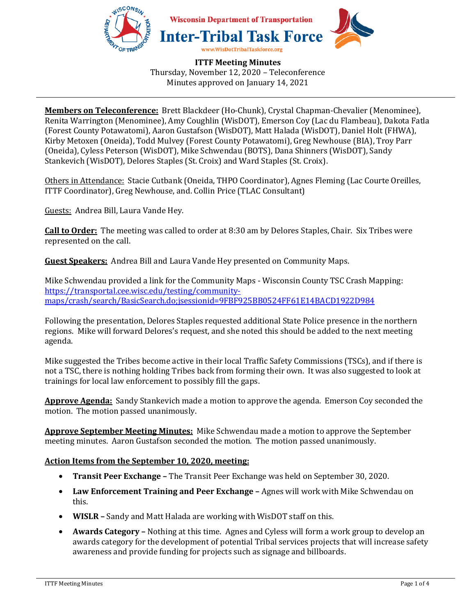

**ITTF Meeting Minutes**  Thursday, November 12, 2020 – Teleconference Minutes approved on January 14, 2021

**Members on Teleconference:** Brett Blackdeer (Ho-Chunk), Crystal Chapman-Chevalier (Menominee), Renita Warrington (Menominee), Amy Coughlin (WisDOT), Emerson Coy (Lac du Flambeau), Dakota Fatla (Forest County Potawatomi), Aaron Gustafson (WisDOT), Matt Halada (WisDOT), Daniel Holt (FHWA), Kirby Metoxen (Oneida), Todd Mulvey (Forest County Potawatomi), Greg Newhouse (BIA), Troy Parr (Oneida), Cyless Peterson (WisDOT), Mike Schwendau (BOTS), Dana Shinners (WisDOT), Sandy Stankevich (WisDOT), Delores Staples (St. Croix) and Ward Staples (St. Croix).

Others in Attendance: Stacie Cutbank (Oneida, THPO Coordinator), Agnes Fleming (Lac Courte Oreilles, ITTF Coordinator), Greg Newhouse, and. Collin Price (TLAC Consultant)

Guests: Andrea Bill, Laura Vande Hey.

**Call to Order:** The meeting was called to order at 8:30 am by Delores Staples, Chair. Six Tribes were represented on the call.

**Guest Speakers:** Andrea Bill and Laura Vande Hey presented on Community Maps.

Mike Schwendau provided a link for the Community Maps - Wisconsin County TSC Crash Mapping: https://transportal.cee.wisc.edu/testing/communitymaps/crash/search/BasicSearch.do;jsessionid=9FBF925BB0524FF61E14BACD1922D984

Following the presentation, Delores Staples requested additional State Police presence in the northern regions. Mike will forward Delores's request, and she noted this should be added to the next meeting agenda.

Mike suggested the Tribes become active in their local Traffic Safety Commissions (TSCs), and if there is not a TSC, there is nothing holding Tribes back from forming their own. It was also suggested to look at trainings for local law enforcement to possibly fill the gaps.

**Approve Agenda:** Sandy Stankevich made a motion to approve the agenda. Emerson Coy seconded the motion. The motion passed unanimously.

**Approve September Meeting Minutes:** Mike Schwendau made a motion to approve the September meeting minutes. Aaron Gustafson seconded the motion. The motion passed unanimously.

# **Action Items from the September 10, 2020, meeting:**

- **Transit Peer Exchange –** The Transit Peer Exchange was held on September 30, 2020.
- **Law Enforcement Training and Peer Exchange –** Agnes will work with Mike Schwendau on this.
- **WISLR** Sandy and Matt Halada are working with WisDOT staff on this.
- **Awards Category –** Nothing at this time. Agnes and Cyless will form a work group to develop an awards category for the development of potential Tribal services projects that will increase safety awareness and provide funding for projects such as signage and billboards.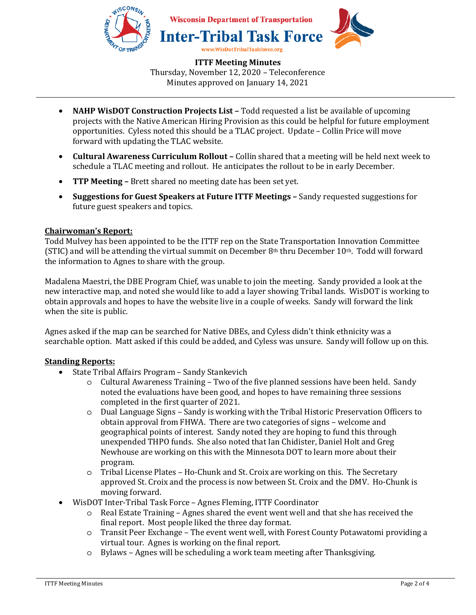

**ITTF Meeting Minutes**  Thursday, November 12, 2020 – Teleconference Minutes approved on January 14, 2021

- **NAHP WisDOT Construction Projects List –** Todd requested a list be available of upcoming projects with the Native American Hiring Provision as this could be helpful for future employment opportunities. Cyless noted this should be a TLAC project. Update – Collin Price will move forward with updating the TLAC website.
- **Cultural Awareness Curriculum Rollout** Collin shared that a meeting will be held next week to schedule a TLAC meeting and rollout. He anticipates the rollout to be in early December.
- **TTP Meeting –** Brett shared no meeting date has been set yet.
- **Suggestions for Guest Speakers at Future ITTF Meetings –** Sandy requested suggestions for future guest speakers and topics.

## **Chairwoman's Report:**

Todd Mulvey has been appointed to be the ITTF rep on the State Transportation Innovation Committee (STIC) and will be attending the virtual summit on December 8<sup>th</sup> thru December 10<sup>th</sup>. Todd will forward the information to Agnes to share with the group.

Madalena Maestri, the DBE Program Chief, was unable to join the meeting. Sandy provided a look at the new interactive map, and noted she would like to add a layer showing Tribal lands. WisDOT is working to obtain approvals and hopes to have the website live in a couple of weeks. Sandy will forward the link when the site is public.

Agnes asked if the map can be searched for Native DBEs, and Cyless didn't think ethnicity was a searchable option. Matt asked if this could be added, and Cyless was unsure. Sandy will follow up on this.

# **Standing Reports:**

- State Tribal Affairs Program Sandy Stankevich
	- o Cultural Awareness Training Two of the five planned sessions have been held. Sandy noted the evaluations have been good, and hopes to have remaining three sessions completed in the first quarter of 2021.
	- o Dual Language Signs Sandy is working with the Tribal Historic Preservation Officers to obtain approval from FHWA. There are two categories of signs – welcome and geographical points of interest. Sandy noted they are hoping to fund this through unexpended THPO funds. She also noted that Ian Chidister, Daniel Holt and Greg Newhouse are working on this with the Minnesota DOT to learn more about their program.
	- o Tribal License Plates Ho-Chunk and St. Croix are working on this. The Secretary approved St. Croix and the process is now between St. Croix and the DMV. Ho-Chunk is moving forward.
- WisDOT Inter-Tribal Task Force Agnes Fleming, ITTF Coordinator
	- o Real Estate Training Agnes shared the event went well and that she has received the final report. Most people liked the three day format.
	- o Transit Peer Exchange The event went well, with Forest County Potawatomi providing a virtual tour. Agnes is working on the final report.
	- o Bylaws Agnes will be scheduling a work team meeting after Thanksgiving.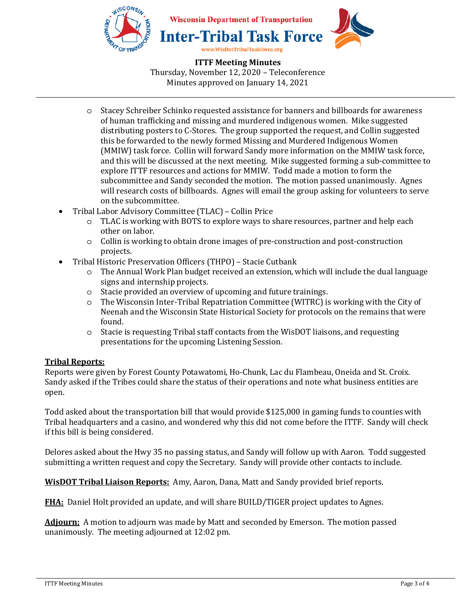

**ITTF Meeting Minutes**  Thursday, November 12, 2020 – Teleconference Minutes approved on January 14, 2021

- o Stacey Schreiber Schinko requested assistance for banners and billboards for awareness of human trafficking and missing and murdered indigenous women. Mike suggested distributing posters to C-Stores. The group supported the request, and Collin suggested this be forwarded to the newly formed Missing and Murdered Indigenous Women (MMIW) task force. Collin will forward Sandy more information on the MMIW task force, and this will be discussed at the next meeting. Mike suggested forming a sub-committee to explore ITTF resources and actions for MMIW. Todd made a motion to form the subcommittee and Sandy seconded the motion. The motion passed unanimously. Agnes will research costs of billboards. Agnes will email the group asking for volunteers to serve on the subcommittee.
- Tribal Labor Advisory Committee (TLAC) Collin Price
	- o TLAC is working with BOTS to explore ways to share resources, partner and help each other on labor.
	- o Collin is working to obtain drone images of pre-construction and post-construction projects.
- Tribal Historic Preservation Officers (THPO) Stacie Cutbank
	- o The Annual Work Plan budget received an extension, which will include the dual language signs and internship projects.
	- o Stacie provided an overview of upcoming and future trainings.
	- o The Wisconsin Inter-Tribal Repatriation Committee (WITRC) is working with the City of Neenah and the Wisconsin State Historical Society for protocols on the remains that were found.
	- o Stacie is requesting Tribal staff contacts from the WisDOT liaisons, and requesting presentations for the upcoming Listening Session.

# **Tribal Reports:**

Reports were given by Forest County Potawatomi, Ho-Chunk, Lac du Flambeau, Oneida and St. Croix. Sandy asked if the Tribes could share the status of their operations and note what business entities are open.

Todd asked about the transportation bill that would provide \$125,000 in gaming funds to counties with Tribal headquarters and a casino, and wondered why this did not come before the ITTF. Sandy will check if this bill is being considered.

Delores asked about the Hwy 35 no passing status, and Sandy will follow up with Aaron. Todd suggested submitting a written request and copy the Secretary. Sandy will provide other contacts to include.

**WisDOT Tribal Liaison Reports:** Amy, Aaron, Dana, Matt and Sandy provided brief reports.

**FHA:** Daniel Holt provided an update, and will share BUILD/TIGER project updates to Agnes.

**Adjourn:** A motion to adjourn was made by Matt and seconded by Emerson. The motion passed unanimously. The meeting adjourned at 12:02 pm.